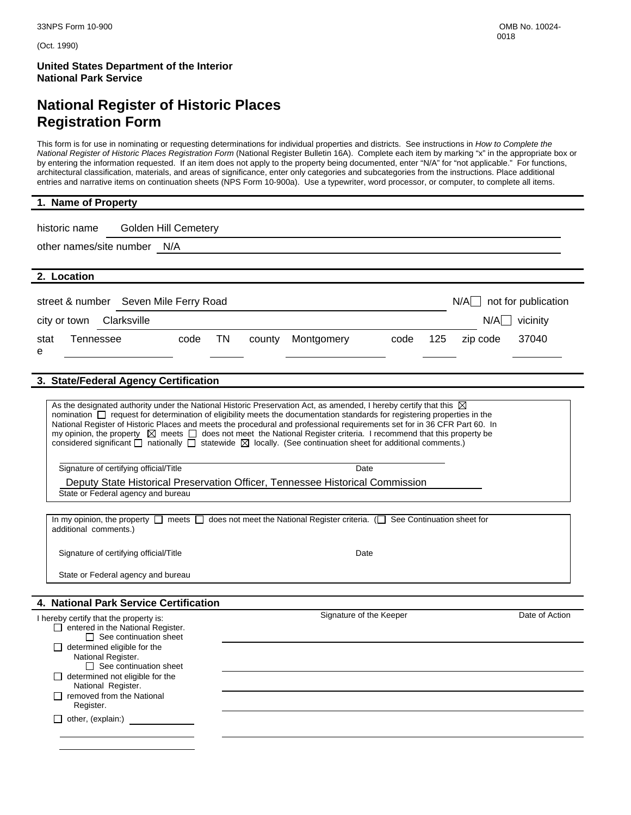(Oct. 1990)

**United States Department of the Interior National Park Service** 

# **National Register of Historic Places Registration Form**

This form is for use in nominating or requesting determinations for individual properties and districts. See instructions in *How to Complete the National Register of Historic Places Registration Form* (National Register Bulletin 16A). Complete each item by marking "x" in the appropriate box or by entering the information requested. If an item does not apply to the property being documented, enter "N/A" for "not applicable." For functions, architectural classification, materials, and areas of significance, enter only categories and subcategories from the instructions. Place additional entries and narrative items on continuation sheets (NPS Form 10-900a). Use a typewriter, word processor, or computer, to complete all items.

| 1. Name of Property                                                                                                                                                                                                                                                                                                                                                                                                                                                                                                                                                                                                                                           |              |                         |      |     |          |                |  |
|---------------------------------------------------------------------------------------------------------------------------------------------------------------------------------------------------------------------------------------------------------------------------------------------------------------------------------------------------------------------------------------------------------------------------------------------------------------------------------------------------------------------------------------------------------------------------------------------------------------------------------------------------------------|--------------|-------------------------|------|-----|----------|----------------|--|
| Golden Hill Cemetery<br>historic name                                                                                                                                                                                                                                                                                                                                                                                                                                                                                                                                                                                                                         |              |                         |      |     |          |                |  |
| other names/site number N/A                                                                                                                                                                                                                                                                                                                                                                                                                                                                                                                                                                                                                                   |              |                         |      |     |          |                |  |
|                                                                                                                                                                                                                                                                                                                                                                                                                                                                                                                                                                                                                                                               |              |                         |      |     |          |                |  |
| 2. Location                                                                                                                                                                                                                                                                                                                                                                                                                                                                                                                                                                                                                                                   |              |                         |      |     |          |                |  |
| street & number Seven Mile Ferry Road<br>$N/A$ not for publication                                                                                                                                                                                                                                                                                                                                                                                                                                                                                                                                                                                            |              |                         |      |     |          |                |  |
| Clarksville<br>city or town                                                                                                                                                                                                                                                                                                                                                                                                                                                                                                                                                                                                                                   |              |                         |      |     |          | $N/A$ vicinity |  |
| <b>Tennessee</b><br>code<br>stat<br>е                                                                                                                                                                                                                                                                                                                                                                                                                                                                                                                                                                                                                         | TN<br>county | Montgomery              | code | 125 | zip code | 37040          |  |
| 3. State/Federal Agency Certification                                                                                                                                                                                                                                                                                                                                                                                                                                                                                                                                                                                                                         |              |                         |      |     |          |                |  |
|                                                                                                                                                                                                                                                                                                                                                                                                                                                                                                                                                                                                                                                               |              |                         |      |     |          |                |  |
| As the designated authority under the National Historic Preservation Act, as amended, I hereby certify that this $\boxtimes$<br>nomination nequest for determination of eligibility meets the documentation standards for registering properties in the<br>National Register of Historic Places and meets the procedural and professional requirements set for in 36 CFR Part 60. In<br>my opinion, the property $\boxtimes$ meets $\Box$ does not meet the National Register criteria. I recommend that this property be<br>considered significant $\Box$ nationally $\Box$ statewide $\boxtimes$ locally. (See continuation sheet for additional comments.) |              |                         |      |     |          |                |  |
| Signature of certifying official/Title                                                                                                                                                                                                                                                                                                                                                                                                                                                                                                                                                                                                                        |              | Date                    |      |     |          |                |  |
| Deputy State Historical Preservation Officer, Tennessee Historical Commission                                                                                                                                                                                                                                                                                                                                                                                                                                                                                                                                                                                 |              |                         |      |     |          |                |  |
| State or Federal agency and bureau                                                                                                                                                                                                                                                                                                                                                                                                                                                                                                                                                                                                                            |              |                         |      |     |          |                |  |
| In my opinion, the property $\Box$ meets $\Box$ does not meet the National Register criteria. ( $\Box$ See Continuation sheet for<br>additional comments.)                                                                                                                                                                                                                                                                                                                                                                                                                                                                                                    |              |                         |      |     |          |                |  |
| Signature of certifying official/Title                                                                                                                                                                                                                                                                                                                                                                                                                                                                                                                                                                                                                        |              | Date                    |      |     |          |                |  |
| State or Federal agency and bureau                                                                                                                                                                                                                                                                                                                                                                                                                                                                                                                                                                                                                            |              |                         |      |     |          |                |  |
|                                                                                                                                                                                                                                                                                                                                                                                                                                                                                                                                                                                                                                                               |              |                         |      |     |          |                |  |
| 4. National Park Service Certification                                                                                                                                                                                                                                                                                                                                                                                                                                                                                                                                                                                                                        |              |                         |      |     |          |                |  |
| I hereby certify that the property is:<br>$\Box$ entered in the National Register.<br>$\Box$ See continuation sheet                                                                                                                                                                                                                                                                                                                                                                                                                                                                                                                                           |              | Signature of the Keeper |      |     |          | Date of Action |  |
| $\Box$ determined eligible for the<br>National Register.                                                                                                                                                                                                                                                                                                                                                                                                                                                                                                                                                                                                      |              |                         |      |     |          |                |  |
| $\Box$ See continuation sheet<br>$\Box$ determined not eligible for the<br>National Register.                                                                                                                                                                                                                                                                                                                                                                                                                                                                                                                                                                 |              |                         |      |     |          |                |  |
| $\Box$ removed from the National<br>Register.                                                                                                                                                                                                                                                                                                                                                                                                                                                                                                                                                                                                                 |              |                         |      |     |          |                |  |
| $\Box$ other, (explain:)                                                                                                                                                                                                                                                                                                                                                                                                                                                                                                                                                                                                                                      |              |                         |      |     |          |                |  |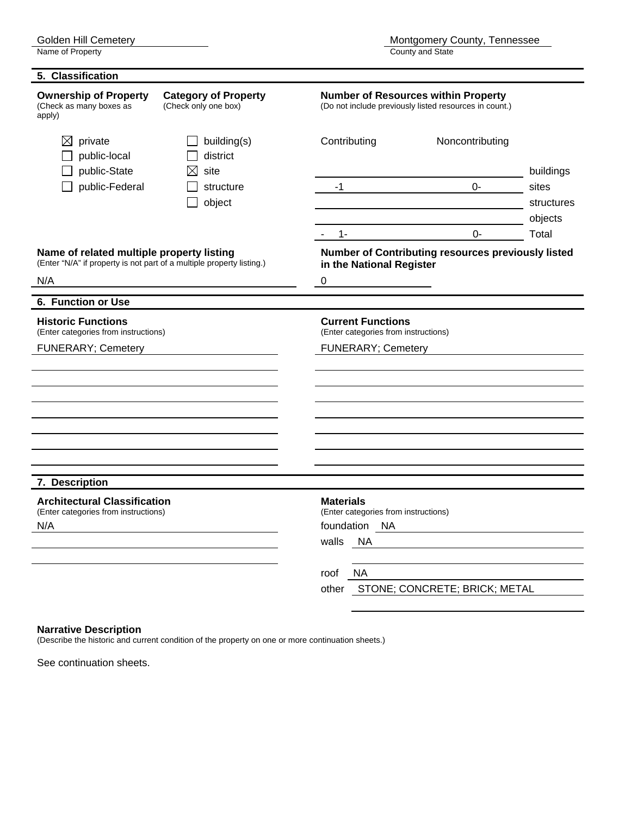**5. Classification Ownership of Property Category of Property Mumber of Resources within Property** (Check as many boxes as apply) (Check only one box) (Do not include previously listed resources in count.)  $\boxtimes$  private  $\Box$  building(s) Contributing Noncontributing public-local district  $\Box$  public-State  $\Box$  site buildings D public-Federal D structure -1 -1 0- sites object contract structures and the structures of the structures of the structures of the structures of the structures of the structures of the structures of the structures of the structures of the structures of the structu objects and the contract of the contract of the contract of the contract of the contract of the contract of the  $-$  1-  $-$  0- Total **Name of related multiple property listing Number of Contributing resources previously listed** (Enter "N/A" if property is not part of a multiple property listing.) **in the National Register**  $N/A$  0 **6. Function or Use Historic Functions**<br> **Example 20 (Enter categories from instructions)**<br> **Enter categories from instructions** (Enter categories from instructions) (Enter categories from instructions) FUNERARY; Cemetery **FUNERARY; Cemetery 7. Description Architectural Classification**<br>
(Enter categories from instructions) **Materials**<br>
(Enter categories from instructions) (Enter categories from instructions) (Enter categories from instructions) N/A foundation NA walls NA roof NA other STONE; CONCRETE; BRICK; METAL

#### **Narrative Description**

(Describe the historic and current condition of the property on one or more continuation sheets.)

See continuation sheets.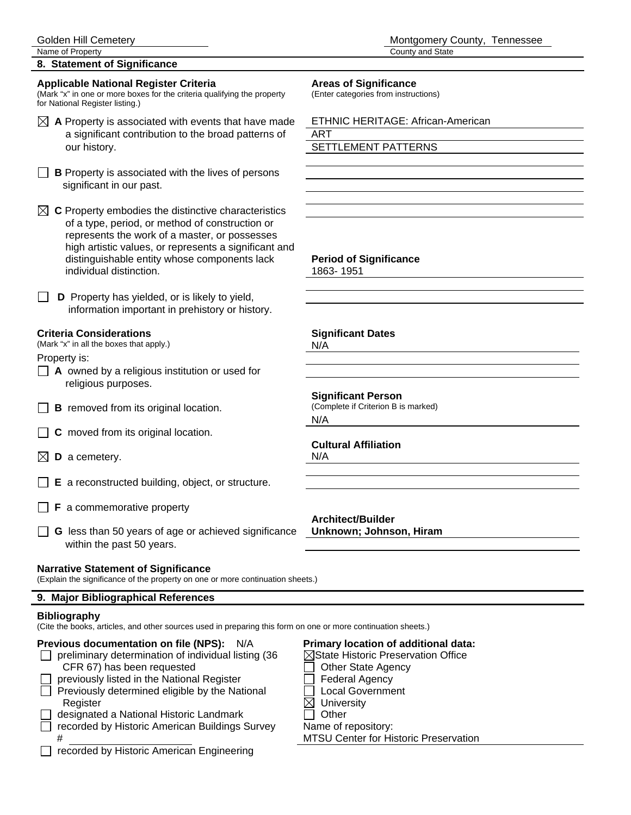## **8. Statement of Significance**

## **Applicable National Register Criteria Areas of Significance**

(Mark "x" in one or more boxes for the criteria qualifying the property (Enter categories from instructions) for National Register listing.)

- $\boxtimes$  A Property is associated with events that have made  $\blacksquare$  ETHNIC HERITAGE: African-American a significant contribution to the broad patterns of ART our history. The settlement of the SETTLEMENT PATTERNS our history.
- $\Box$  **B** Property is associated with the lives of persons significant in our past.

 $\boxtimes$  **C** Property embodies the distinctive characteristics of a type, period, or method of construction or represents the work of a master, or possesses high artistic values, or represents a significant and distinguishable entity whose components lack **Period of Significance** individual distinction. 1863-1951

**D** Property has yielded, or is likely to yield, information important in prehistory or history.

(Mark "x" in all the boxes that apply.)  $N/A$ 

Property is:

- **A** owned by a religious institution or used for religious purposes.
- $\Box$  **B** removed from its original location.
- $\Box$  **C** moved from its original location.
- $\boxtimes$  **D** a cemetery. N/A
- **E** a reconstructed building, object, or structure.
- **F** a commemorative property
- **G** less than 50 years of age or achieved significance **Unknown; Johnson, Hiram**  within the past 50 years.

### **Narrative Statement of Significance**

(Explain the significance of the property on one or more continuation sheets.)

### **9. Major Bibliographical References**

### **Bibliography**

(Cite the books, articles, and other sources used in preparing this form on one or more continuation sheets.)

## **Previous documentation on file (NPS):** N/A **Primary location of additional data:**

|        | <b>IGVIOUS GOCUMPHICATION ON THE (IVI O).</b> IVA         |
|--------|-----------------------------------------------------------|
|        | $\Box$ preliminary determination of individual listing (3 |
|        | CFR 67) has been requested                                |
| $\Box$ | previously listed in the National Register                |
| $\Box$ | Previously determined eligible by the National            |
|        | Register                                                  |
|        | $\Box$ decignated a Neticaal Historia Landmark            |

- designated a National Historic Landmark **Dubber** Other recorded by Historic American Buildings Survey Name of repository:
- □ recorded by Historic American Engineering

**Criteria Considerations Significant Dates Significant Person**<br>(Complete if Criterion B is marked) N/A **Cultural Affiliation**

**Architect/Builder** 

 $96$   $\blacksquare$  State Historic Preservation Office

- **Other State Agency**
- **Federal Agency**
- $\Box$  Local Government
- $\boxtimes$  University
- 

# MTSU Center for Historic Preservation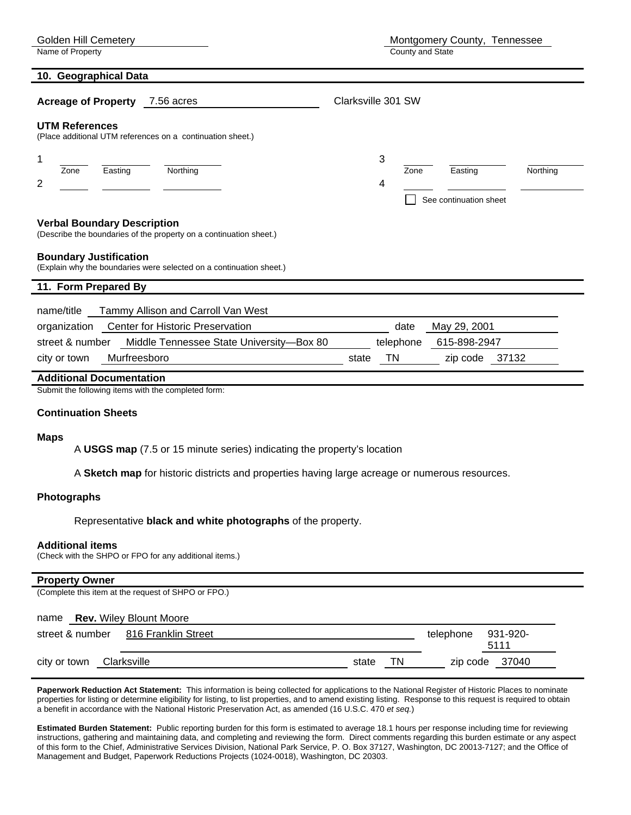Name of Property **County and State** 

#### **10. Geographical Data**

| <b>Acreage of Property</b><br>7.56 acres                                                                                                                                                                         | Clarksville 301 SW                                              |
|------------------------------------------------------------------------------------------------------------------------------------------------------------------------------------------------------------------|-----------------------------------------------------------------|
| <b>UTM References</b><br>(Place additional UTM references on a continuation sheet.)                                                                                                                              |                                                                 |
| 1<br>Zone<br>Northing<br>Easting<br>$\overline{2}$                                                                                                                                                               | 3<br>Northing<br>Zone<br>Easting<br>4<br>See continuation sheet |
| <b>Verbal Boundary Description</b><br>(Describe the boundaries of the property on a continuation sheet.)<br><b>Boundary Justification</b><br>(Explain why the boundaries were selected on a continuation sheet.) |                                                                 |
| 11. Form Prepared By                                                                                                                                                                                             |                                                                 |
| name/title<br>Tammy Allison and Carroll Van West                                                                                                                                                                 |                                                                 |
| <b>Center for Historic Preservation</b><br>organization                                                                                                                                                          | May 29, 2001<br>date                                            |
| Middle Tennessee State University-Box 80<br>street & number                                                                                                                                                      | 615-898-2947<br>telephone                                       |
| Murfreesboro<br>city or town                                                                                                                                                                                     | <b>TN</b><br>37132<br>state<br>zip code                         |
| <b>Additional Documentation</b>                                                                                                                                                                                  |                                                                 |
| Submit the following items with the completed form:                                                                                                                                                              |                                                                 |

#### **Continuation Sheets**

#### **Maps**

A **USGS map** (7.5 or 15 minute series) indicating the property's location

A **Sketch map** for historic districts and properties having large acreage or numerous resources.

#### **Photographs**

Representative **black and white photographs** of the property.

#### **Additional items**

(Check with the SHPO or FPO for any additional items.)

#### **Property Owner** (Complete this item at the request of SHPO or FPO.)

|              | name <b>Rev.</b> Wiley Blount Moore |       |    |                    |                |
|--------------|-------------------------------------|-------|----|--------------------|----------------|
|              | street & number 816 Franklin Street |       |    | telephone 931-920- |                |
|              |                                     |       |    |                    | 5111           |
| city or town | Clarksville                         | state | TN |                    | zip code 37040 |

Paperwork Reduction Act Statement: This information is being collected for applications to the National Register of Historic Places to nominate properties for listing or determine eligibility for listing, to list properties, and to amend existing listing. Response to this request is required to obtain a benefit in accordance with the National Historic Preservation Act, as amended (16 U.S.C. 470 *et seq.*)

**Estimated Burden Statement:** Public reporting burden for this form is estimated to average 18.1 hours per response including time for reviewing instructions, gathering and maintaining data, and completing and reviewing the form. Direct comments regarding this burden estimate or any aspect of this form to the Chief, Administrative Services Division, National Park Service, P. O. Box 37127, Washington, DC 20013-7127; and the Office of Management and Budget, Paperwork Reductions Projects (1024-0018), Washington, DC 20303.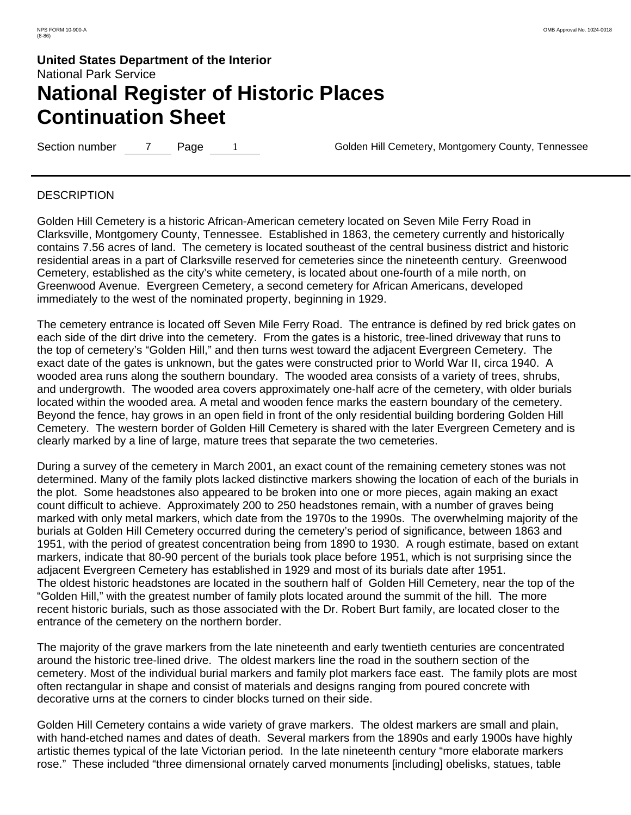Section number 7 Page 1 Golden Hill Cemetery, Montgomery County, Tennessee

### **DESCRIPTION**

Golden Hill Cemetery is a historic African-American cemetery located on Seven Mile Ferry Road in Clarksville, Montgomery County, Tennessee. Established in 1863, the cemetery currently and historically contains 7.56 acres of land. The cemetery is located southeast of the central business district and historic residential areas in a part of Clarksville reserved for cemeteries since the nineteenth century. Greenwood Cemetery, established as the city's white cemetery, is located about one-fourth of a mile north, on Greenwood Avenue. Evergreen Cemetery, a second cemetery for African Americans, developed immediately to the west of the nominated property, beginning in 1929.

The cemetery entrance is located off Seven Mile Ferry Road. The entrance is defined by red brick gates on each side of the dirt drive into the cemetery. From the gates is a historic, tree-lined driveway that runs to the top of cemetery's "Golden Hill," and then turns west toward the adjacent Evergreen Cemetery. The exact date of the gates is unknown, but the gates were constructed prior to World War II, circa 1940. A wooded area runs along the southern boundary. The wooded area consists of a variety of trees, shrubs, and undergrowth. The wooded area covers approximately one-half acre of the cemetery, with older burials located within the wooded area. A metal and wooden fence marks the eastern boundary of the cemetery. Beyond the fence, hay grows in an open field in front of the only residential building bordering Golden Hill Cemetery. The western border of Golden Hill Cemetery is shared with the later Evergreen Cemetery and is clearly marked by a line of large, mature trees that separate the two cemeteries.

During a survey of the cemetery in March 2001, an exact count of the remaining cemetery stones was not determined. Many of the family plots lacked distinctive markers showing the location of each of the burials in the plot. Some headstones also appeared to be broken into one or more pieces, again making an exact count difficult to achieve. Approximately 200 to 250 headstones remain, with a number of graves being marked with only metal markers, which date from the 1970s to the 1990s. The overwhelming majority of the burials at Golden Hill Cemetery occurred during the cemetery's period of significance, between 1863 and 1951, with the period of greatest concentration being from 1890 to 1930. A rough estimate, based on extant markers, indicate that 80-90 percent of the burials took place before 1951, which is not surprising since the adjacent Evergreen Cemetery has established in 1929 and most of its burials date after 1951. The oldest historic headstones are located in the southern half of Golden Hill Cemetery, near the top of the "Golden Hill," with the greatest number of family plots located around the summit of the hill. The more recent historic burials, such as those associated with the Dr. Robert Burt family, are located closer to the entrance of the cemetery on the northern border.

The majority of the grave markers from the late nineteenth and early twentieth centuries are concentrated around the historic tree-lined drive. The oldest markers line the road in the southern section of the cemetery. Most of the individual burial markers and family plot markers face east. The family plots are most often rectangular in shape and consist of materials and designs ranging from poured concrete with decorative urns at the corners to cinder blocks turned on their side.

Golden Hill Cemetery contains a wide variety of grave markers. The oldest markers are small and plain, with hand-etched names and dates of death. Several markers from the 1890s and early 1900s have highly artistic themes typical of the late Victorian period. In the late nineteenth century "more elaborate markers rose." These included "three dimensional ornately carved monuments [including] obelisks, statues, table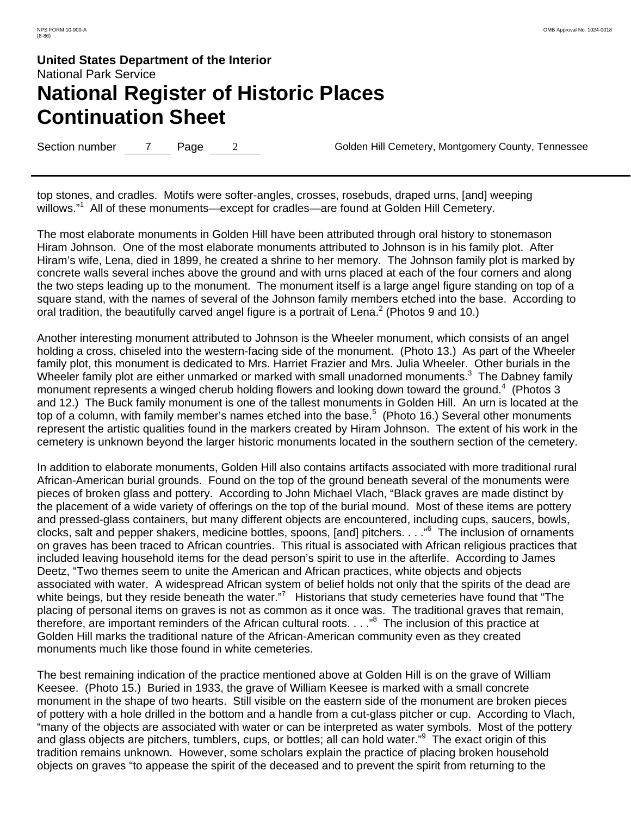Section number 7 Page 2 Golden Hill Cemetery, Montgomery County, Tennessee

top stones, and cradles. Motifs were softer-angles, crosses, rosebuds, draped urns, [and] weeping willows."<sup>1</sup> All of these monuments—except for cradles—are found at Golden Hill Cemetery.

The most elaborate monuments in Golden Hill have been attributed through oral history to stonemason Hiram Johnson. One of the most elaborate monuments attributed to Johnson is in his family plot. After Hiram's wife, Lena, died in 1899, he created a shrine to her memory. The Johnson family plot is marked by concrete walls several inches above the ground and with urns placed at each of the four corners and along the two steps leading up to the monument. The monument itself is a large angel figure standing on top of a square stand, with the names of several of the Johnson family members etched into the base. According to oral tradition, the beautifully carved angel figure is a portrait of Lena.<sup>2</sup> (Photos 9 and 10.)

Another interesting monument attributed to Johnson is the Wheeler monument, which consists of an angel holding a cross, chiseled into the western-facing side of the monument. (Photo 13.) As part of the Wheeler family plot, this monument is dedicated to Mrs. Harriet Frazier and Mrs. Julia Wheeler. Other burials in the Wheeler family plot are either unmarked or marked with small unadorned monuments.<sup>3</sup> The Dabney family monument represents a winged cherub holding flowers and looking down toward the ground.<sup>4</sup> (Photos 3 and 12.)The Buck family monument is one of the tallest monuments in Golden Hill. An urn is located at the top of a column, with family member's names etched into the base.<sup>5</sup> (Photo 16.) Several other monuments represent the artistic qualities found in the markers created by Hiram Johnson. The extent of his work in the cemetery is unknown beyond the larger historic monuments located in the southern section of the cemetery.

In addition to elaborate monuments, Golden Hill also contains artifacts associated with more traditional rural African-American burial grounds. Found on the top of the ground beneath several of the monuments were pieces of broken glass and pottery. According to John Michael Vlach, "Black graves are made distinct by the placement of a wide variety of offerings on the top of the burial mound. Most of these items are pottery and pressed-glass containers, but many different objects are encountered, including cups, saucers, bowls, clocks, salt and pepper shakers, medicine bottles, spoons, [and] pitchers. . . ."<sup>6</sup> The inclusion of ornaments on graves has been traced to African countries. This ritual is associated with African religious practices that included leaving household items for the dead person's spirit to use in the afterlife. According to James Deetz, "Two themes seem to unite the American and African practices, white objects and objects associated with water. A widespread African system of belief holds not only that the spirits of the dead are white beings, but they reside beneath the water."<sup>7</sup> Historians that study cemeteries have found that "The placing of personal items on graves is not as common as it once was. The traditional graves that remain, therefore, are important reminders of the African cultural roots. . . ."<sup>8</sup> The inclusion of this practice at Golden Hill marks the traditional nature of the African-American community even as they created monuments much like those found in white cemeteries.

The best remaining indication of the practice mentioned above at Golden Hill is on the grave of William Keesee. (Photo 15.)Buried in 1933, the grave of William Keesee is marked with a small concrete monument in the shape of two hearts. Still visible on the eastern side of the monument are broken pieces of pottery with a hole drilled in the bottom and a handle from a cut-glass pitcher or cup. According to Vlach, "many of the objects are associated with water or can be interpreted as water symbols. Most of the pottery and glass objects are pitchers, tumblers, cups, or bottles; all can hold water."<sup>9</sup> The exact origin of this tradition remains unknown. However, some scholars explain the practice of placing broken household objects on graves "to appease the spirit of the deceased and to prevent the spirit from returning to the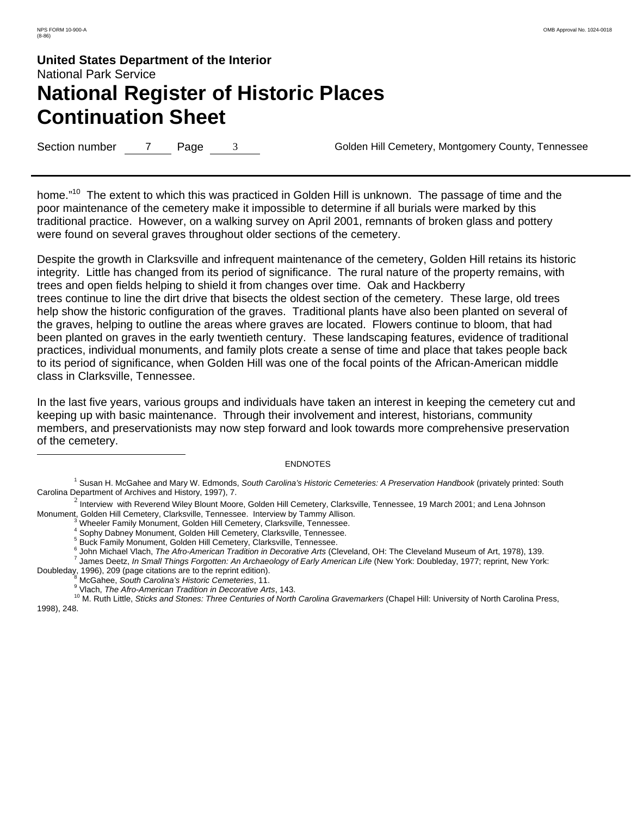$\overline{a}$ 

# **United States Department of the Interior** National Park Service **National Register of Historic Places Continuation Sheet**

Section number 7 Page 3 Golden Hill Cemetery, Montgomery County, Tennessee

home."<sup>10</sup> The extent to which this was practiced in Golden Hill is unknown. The passage of time and the poor maintenance of the cemetery make it impossible to determine if all burials were marked by this traditional practice. However, on a walking survey on April 2001, remnants of broken glass and pottery were found on several graves throughout older sections of the cemetery.

Despite the growth in Clarksville and infrequent maintenance of the cemetery, Golden Hill retains its historic integrity. Little has changed from its period of significance. The rural nature of the property remains, with trees and open fields helping to shield it from changes over time. Oak and Hackberry trees continue to line the dirt drive that bisects the oldest section of the cemetery. These large, old trees help show the historic configuration of the graves. Traditional plants have also been planted on several of the graves, helping to outline the areas where graves are located. Flowers continue to bloom, that had been planted on graves in the early twentieth century. These landscaping features, evidence of traditional practices, individual monuments, and family plots create a sense of time and place that takes people back to its period of significance, when Golden Hill was one of the focal points of the African-American middle class in Clarksville, Tennessee.

In the last five years, various groups and individuals have taken an interest in keeping the cemetery cut and keeping up with basic maintenance. Through their involvement and interest, historians, community members, and preservationists may now step forward and look towards more comprehensive preservation of the cemetery.

#### **ENDNOTES**

1 Susan H. McGahee and Mary W. Edmonds, *South Carolina's Historic Cemeteries: A Preservation Handbook* (privately printed: South Carolina Department of Archives and History, 1997), 7.

 $2$  Interview with Reverend Wiley Blount Moore, Golden Hill Cemetery, Clarksville, Tennessee, 19 March 2001; and Lena Johnson Monument, Golden Hill Cemetery, Clarksville, Tennessee. Interview by Tammy Allison. <sup>3</sup>

4 Sophy Dabney Monument, Golden Hill Cemetery, Clarksville, Tennessee.

<sup>6</sup> John Michael Vlach, *The Afro-American Tradition in Decorative Arts* (Cleveland, OH: The Cleveland Museum of Art, 1978), 139.<br><sup>7</sup> James Destaulte Small Things Ferration: An Archaeology of Farly American Life (Naw York:

<sup>7</sup> James Deetz, *In Small Things Forgotten: An Archaeology of Early American Life* (New York: Doubleday, 1977; reprint, New York: Doubleday, 1996), 209 (page citations are to the reprint edition).<br><sup>8</sup> MeCabas, South Caralina's Uistaria Camaterias 11

<sup>9</sup> Vlach, *The Afro-American Tradition in Decorative Arts*, 143.<br><sup>10</sup> M. Ruth Little, *Sticks and Stones: Three Centuries of North Carolina Gravemarkers* (Chapel Hill: University of North Carolina Press, 1998), 248.

 $\delta$  Wheeler Family Monument, Golden Hill Cemetery, Clarksville, Tennessee.

<sup>&</sup>lt;sup>5</sup> Buck Family Monument, Golden Hill Cemetery, Clarksville, Tennessee.

<sup>&</sup>lt;sup>8</sup> McGahee, *South Carolina's Historic Cemeteries*, 11.<br><sup>9</sup> Vlaab, The Afra American Tradition in Decemtive Art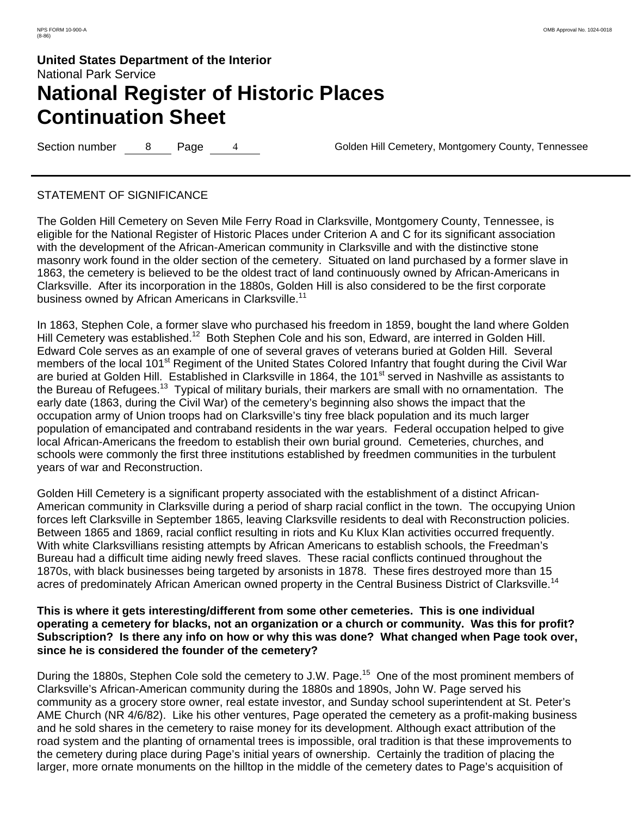Section number 8 Page 4 Golden Hill Cemetery, Montgomery County, Tennessee

### STATEMENT OF SIGNIFICANCE

The Golden Hill Cemetery on Seven Mile Ferry Road in Clarksville, Montgomery County, Tennessee, is eligible for the National Register of Historic Places under Criterion A and C for its significant association with the development of the African-American community in Clarksville and with the distinctive stone masonry work found in the older section of the cemetery. Situated on land purchased by a former slave in 1863, the cemetery is believed to be the oldest tract of land continuously owned by African-Americans in Clarksville. After its incorporation in the 1880s, Golden Hill is also considered to be the first corporate business owned by African Americans in Clarksville.<sup>11</sup>

In 1863, Stephen Cole, a former slave who purchased his freedom in 1859, bought the land where Golden Hill Cemetery was established.<sup>12</sup> Both Stephen Cole and his son, Edward, are interred in Golden Hill. Edward Cole serves as an example of one of several graves of veterans buried at Golden Hill. Several members of the local 101<sup>st</sup> Regiment of the United States Colored Infantry that fought during the Civil War are buried at Golden Hill. Established in Clarksville in 1864, the 101<sup>st</sup> served in Nashville as assistants to the Bureau of Refugees.<sup>13</sup> Typical of military burials, their markers are small with no ornamentation. The early date (1863, during the Civil War) of the cemetery's beginning also shows the impact that the occupation army of Union troops had on Clarksville's tiny free black population and its much larger population of emancipated and contraband residents in the war years. Federal occupation helped to give local African-Americans the freedom to establish their own burial ground. Cemeteries, churches, and schools were commonly the first three institutions established by freedmen communities in the turbulent years of war and Reconstruction.

Golden Hill Cemetery is a significant property associated with the establishment of a distinct African-American community in Clarksville during a period of sharp racial conflict in the town. The occupying Union forces left Clarksville in September 1865, leaving Clarksville residents to deal with Reconstruction policies. Between 1865 and 1869, racial conflict resulting in riots and Ku Klux Klan activities occurred frequently. With white Clarksvillians resisting attempts by African Americans to establish schools, the Freedman's Bureau had a difficult time aiding newly freed slaves. These racial conflicts continued throughout the 1870s, with black businesses being targeted by arsonists in 1878. These fires destroyed more than 15 acres of predominately African American owned property in the Central Business District of Clarksville.<sup>14</sup>

### **This is where it gets interesting/different from some other cemeteries. This is one individual operating a cemetery for blacks, not an organization or a church or community. Was this for profit? Subscription? Is there any info on how or why this was done? What changed when Page took over, since he is considered the founder of the cemetery?**

During the 1880s, Stephen Cole sold the cemetery to J.W. Page.<sup>15</sup> One of the most prominent members of Clarksville's African-American community during the 1880s and 1890s, John W. Page served his community as a grocery store owner, real estate investor, and Sunday school superintendent at St. Peter's AME Church (NR 4/6/82). Like his other ventures, Page operated the cemetery as a profit-making business and he sold shares in the cemetery to raise money for its development. Although exact attribution of the road system and the planting of ornamental trees is impossible, oral tradition is that these improvements to the cemetery during place during Page's initial years of ownership. Certainly the tradition of placing the larger, more ornate monuments on the hilltop in the middle of the cemetery dates to Page's acquisition of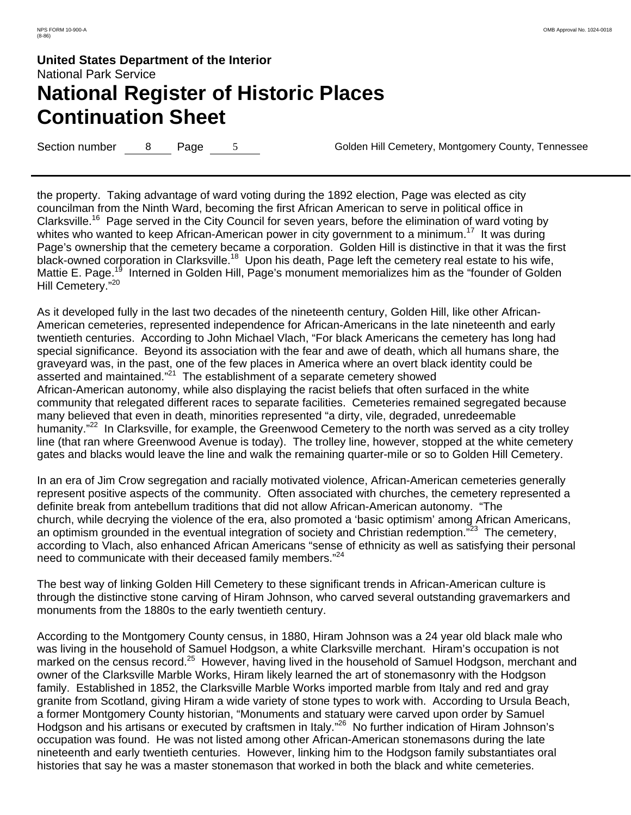Section number 8 Page 5 Golden Hill Cemetery, Montgomery County, Tennessee

the property. Taking advantage of ward voting during the 1892 election, Page was elected as city councilman from the Ninth Ward, becoming the first African American to serve in political office in Clarksville.<sup>16</sup> Page served in the City Council for seven years, before the elimination of ward voting by whites who wanted to keep African-American power in city government to a minimum.<sup>17</sup> It was during Page's ownership that the cemetery became a corporation. Golden Hill is distinctive in that it was the first black-owned corporation in Clarksville.<sup>18</sup> Upon his death, Page left the cemetery real estate to his wife, Mattie E. Page.<sup>19</sup> Interned in Golden Hill, Page's monument memorializes him as the "founder of Golden Hill Cemetery."<sup>20</sup>

As it developed fully in the last two decades of the nineteenth century, Golden Hill, like other African-American cemeteries, represented independence for African-Americans in the late nineteenth and early twentieth centuries. According to John Michael Vlach, "For black Americans the cemetery has long had special significance. Beyond its association with the fear and awe of death, which all humans share, the graveyard was, in the past, one of the few places in America where an overt black identity could be asserted and maintained."21 The establishment of a separate cemetery showed African-American autonomy, while also displaying the racist beliefs that often surfaced in the white community that relegated different races to separate facilities. Cemeteries remained segregated because many believed that even in death, minorities represented "a dirty, vile, degraded, unredeemable humanity."<sup>22</sup> In Clarksville, for example, the Greenwood Cemetery to the north was served as a city trolley line (that ran where Greenwood Avenue is today). The trolley line, however, stopped at the white cemetery gates and blacks would leave the line and walk the remaining quarter-mile or so to Golden Hill Cemetery.

In an era of Jim Crow segregation and racially motivated violence, African-American cemeteries generally represent positive aspects of the community. Often associated with churches, the cemetery represented a definite break from antebellum traditions that did not allow African-American autonomy. "The church, while decrying the violence of the era, also promoted a 'basic optimism' among African Americans, an optimism grounded in the eventual integration of society and Christian redemption.<sup>"23</sup> The cemetery, according to Vlach, also enhanced African Americans "sense of ethnicity as well as satisfying their personal need to communicate with their deceased family members."<sup>24</sup>

The best way of linking Golden Hill Cemetery to these significant trends in African-American culture is through the distinctive stone carving of Hiram Johnson, who carved several outstanding gravemarkers and monuments from the 1880s to the early twentieth century.

According to the Montgomery County census, in 1880, Hiram Johnson was a 24 year old black male who was living in the household of Samuel Hodgson, a white Clarksville merchant. Hiram's occupation is not marked on the census record.<sup>25</sup> However, having lived in the household of Samuel Hodgson, merchant and owner of the Clarksville Marble Works, Hiram likely learned the art of stonemasonry with the Hodgson family. Established in 1852, the Clarksville Marble Works imported marble from Italy and red and gray granite from Scotland, giving Hiram a wide variety of stone types to work with. According to Ursula Beach, a former Montgomery County historian, "Monuments and statuary were carved upon order by Samuel Hodgson and his artisans or executed by craftsmen in Italy."26 No further indication of Hiram Johnson's occupation was found. He was not listed among other African-American stonemasons during the late nineteenth and early twentieth centuries. However, linking him to the Hodgson family substantiates oral histories that say he was a master stonemason that worked in both the black and white cemeteries.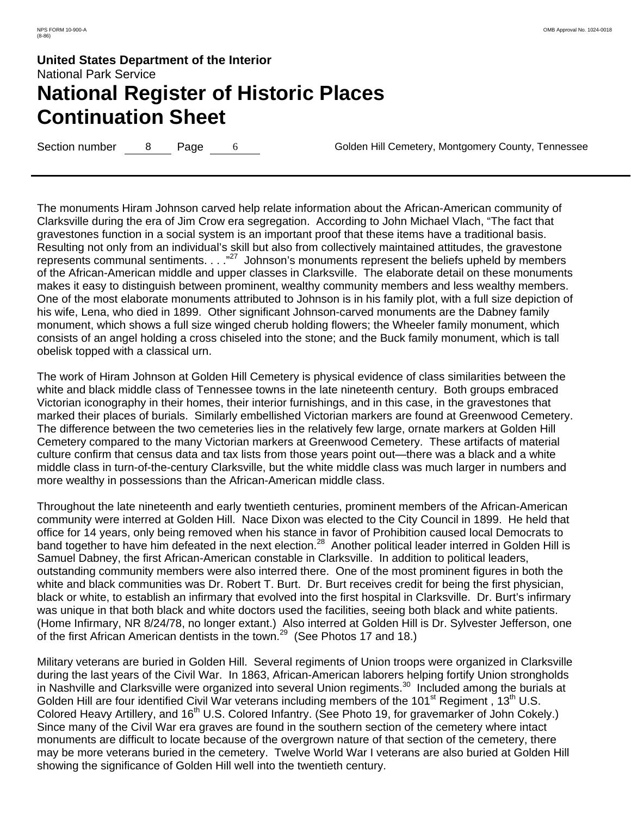Section number 8 Page 6 Golden Hill Cemetery, Montgomery County, Tennessee

The monuments Hiram Johnson carved help relate information about the African-American community of Clarksville during the era of Jim Crow era segregation. According to John Michael Vlach, "The fact that gravestones function in a social system is an important proof that these items have a traditional basis. Resulting not only from an individual's skill but also from collectively maintained attitudes, the gravestone represents communal sentiments. . . . "<sup>27</sup> Johnson's monuments represent the beliefs upheld by members of the African-American middle and upper classes in Clarksville. The elaborate detail on these monuments makes it easy to distinguish between prominent, wealthy community members and less wealthy members. One of the most elaborate monuments attributed to Johnson is in his family plot, with a full size depiction of his wife, Lena, who died in 1899. Other significant Johnson-carved monuments are the Dabney family monument, which shows a full size winged cherub holding flowers; the Wheeler family monument, which consists of an angel holding a cross chiseled into the stone; and the Buck family monument, which is tall obelisk topped with a classical urn.

The work of Hiram Johnson at Golden Hill Cemetery is physical evidence of class similarities between the white and black middle class of Tennessee towns in the late nineteenth century. Both groups embraced Victorian iconography in their homes, their interior furnishings, and in this case, in the gravestones that marked their places of burials. Similarly embellished Victorian markers are found at Greenwood Cemetery. The difference between the two cemeteries lies in the relatively few large, ornate markers at Golden Hill Cemetery compared to the many Victorian markers at Greenwood Cemetery. These artifacts of material culture confirm that census data and tax lists from those years point out—there was a black and a white middle class in turn-of-the-century Clarksville, but the white middle class was much larger in numbers and more wealthy in possessions than the African-American middle class.

Throughout the late nineteenth and early twentieth centuries, prominent members of the African-American community were interred at Golden Hill. Nace Dixon was elected to the City Council in 1899. He held that office for 14 years, only being removed when his stance in favor of Prohibition caused local Democrats to band together to have him defeated in the next election.<sup>28</sup> Another political leader interred in Golden Hill is Samuel Dabney, the first African-American constable in Clarksville. In addition to political leaders, outstanding community members were also interred there. One of the most prominent figures in both the white and black communities was Dr. Robert T. Burt. Dr. Burt receives credit for being the first physician, black or white, to establish an infirmary that evolved into the first hospital in Clarksville. Dr. Burt's infirmary was unique in that both black and white doctors used the facilities, seeing both black and white patients. (Home Infirmary, NR 8/24/78, no longer extant.)Also interred at Golden Hill is Dr. Sylvester Jefferson, one of the first African American dentists in the town.<sup>29</sup> (See Photos 17 and 18.)

Military veterans are buried in Golden Hill. Several regiments of Union troops were organized in Clarksville during the last years of the Civil War. In 1863, African-American laborers helping fortify Union strongholds in Nashville and Clarksville were organized into several Union regiments.<sup>30</sup> Included among the burials at Golden Hill are four identified Civil War veterans including members of the 101<sup>st</sup> Regiment, 13<sup>th</sup> U.S. Colored Heavy Artillery, and 16<sup>th</sup> U.S. Colored Infantry. (See Photo 19, for gravemarker of John Cokely.) Since many of the Civil War era graves are found in the southern section of the cemetery where intact monuments are difficult to locate because of the overgrown nature of that section of the cemetery, there may be more veterans buried in the cemetery. Twelve World War I veterans are also buried at Golden Hill showing the significance of Golden Hill well into the twentieth century.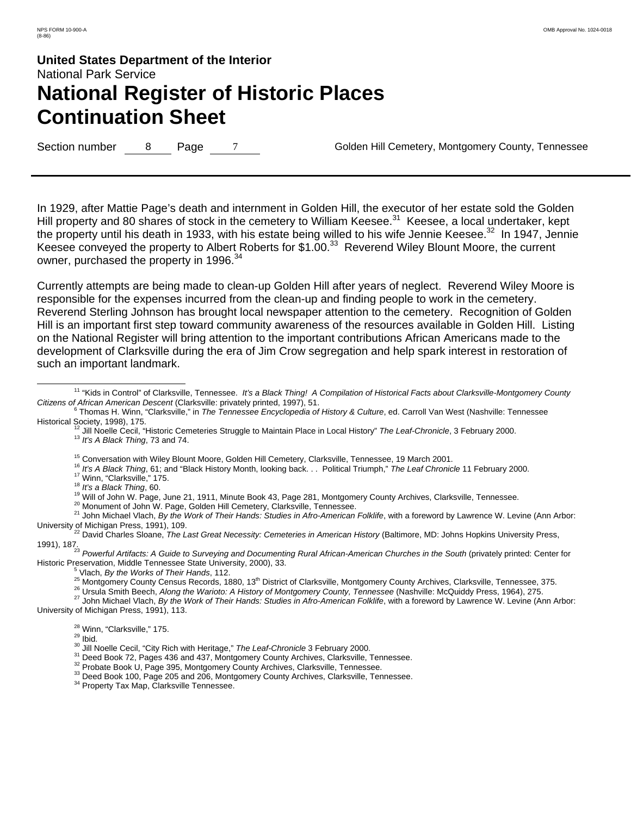Section number 8 Page 7 Golden Hill Cemetery, Montgomery County, Tennessee

In 1929, after Mattie Page's death and internment in Golden Hill, the executor of her estate sold the Golden Hill property and 80 shares of stock in the cemetery to William Keesee.<sup>31</sup> Keesee, a local undertaker, kept the property until his death in 1933, with his estate being willed to his wife Jennie Keesee.<sup>32</sup> In 1947, Jennie Keesee conveyed the property to Albert Roberts for \$1.00.<sup>33</sup> Reverend Wiley Blount Moore, the current owner, purchased the property in 1996.<sup>34</sup>

Currently attempts are being made to clean-up Golden Hill after years of neglect. Reverend Wiley Moore is responsible for the expenses incurred from the clean-up and finding people to work in the cemetery. Reverend Sterling Johnson has brought local newspaper attention to the cemetery. Recognition of Golden Hill is an important first step toward community awareness of the resources available in Golden Hill. Listing on the National Register will bring attention to the important contributions African Americans made to the development of Clarksville during the era of Jim Crow segregation and help spark interest in restoration of such an important landmark.

- 
- 

<sup>15</sup> Conversation with Wiley Blount Moore, Golden Hill Cemetery, Clarksville, Tennessee, 19 March 2001.<br><sup>16</sup> *It's A Black Thing*, 61; and "Black History Month, looking back. . . Political Triumph," *The Leaf Chronicle* 1

<sup>25</sup> Montgomery County Census Records, 1880, 13<sup>th</sup> District of Clarksville, Montgomery County Archives, Clarksville, Tennessee, 375.<br><sup>26</sup> Ursula Smith Beech, *Along the Warioto: A History of Montgomery County, Tennessee* University of Michigan Press, 1991), 113.

- <sup>28</sup> Winn, "Clarksville," 175.<br><sup>29</sup> Ibid.<br><sup>30</sup> Jill Noelle Cecil, "City Rich with Heritage," *The Leaf-Chronicle* 3 February 2000.<br><sup>31</sup> Deed Book 72, Pages 436 and 437, Montgomery County Archives, Clarksville, Tennessee.<br>
- 

<sup>&</sup>lt;sup>11</sup> "Kids in Control" of Clarksville, Tennessee. It's a Black Thing! A Compilation of Historical Facts about Clarksville-Montgomery County *Citizens of African American Descent* (Clarksville: privately printed, 1997), 51.

Thomas H. Winn, "Clarksville," in *The Tennessee Encyclopedia of History & Culture*, ed. Carroll Van West (Nashville: Tennessee

Historical Society, 1998), 175.<br><sup>12</sup> Jill Noelle Cecil, "Historic Cemeteries Struggle to Maintain Place in Local History" *The Leaf-Chronicle*, 3 February 2000.<br><sup>13</sup> *It's A Black Thing*, 73 and 74.

University of Michigan Press, 1991), 109. 22 David Charles Sloane, *The Last Great Necessity: Cemeteries in American History* (Baltimore, MD: Johns Hopkins University Press,

<sup>1991), 187. 23</sup> *Powerful Artifacts: A Guide to Surveying and Documenting Rural African-American Churches in the South* (privately printed: Center for Historic Preservation, Middle Tennessee State University, 2000), 33.<br>
<sup>5</sup> Vlach, *By the Works of Their Hands*, 112.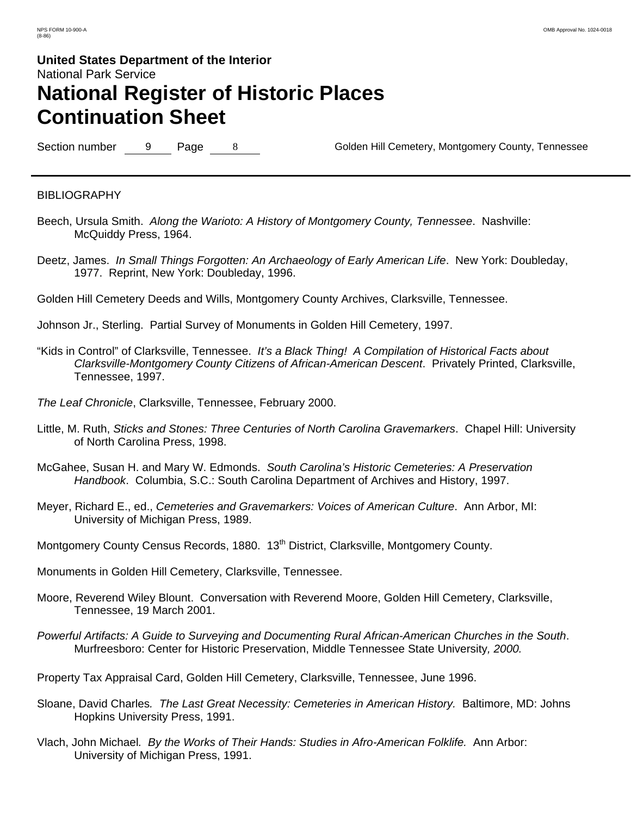Section number 9 Page 8 Section number 9 Page 8 Golden Hill Cemetery, Montgomery County, Tennessee

### **BIBLIOGRAPHY**

- Beech, Ursula Smith. *Along the Warioto: A History of Montgomery County, Tennessee*. Nashville: McQuiddy Press, 1964.
- Deetz, James. *In Small Things Forgotten: An Archaeology of Early American Life*. New York: Doubleday, 1977. Reprint, New York: Doubleday, 1996.

Golden Hill Cemetery Deeds and Wills, Montgomery County Archives, Clarksville, Tennessee.

Johnson Jr., Sterling. Partial Survey of Monuments in Golden Hill Cemetery, 1997.

- "Kids in Control" of Clarksville, Tennessee. *It's a Black Thing! A Compilation of Historical Facts about Clarksville-Montgomery County Citizens of African-American Descent*. Privately Printed, Clarksville, Tennessee, 1997.
- *The Leaf Chronicle*, Clarksville, Tennessee, February 2000.
- Little, M. Ruth, *Sticks and Stones: Three Centuries of North Carolina Gravemarkers*. Chapel Hill: University of North Carolina Press, 1998.
- McGahee, Susan H. and Mary W. Edmonds. *South Carolina's Historic Cemeteries: A Preservation Handbook*. Columbia, S.C.: South Carolina Department of Archives and History, 1997.
- Meyer, Richard E., ed., *Cemeteries and Gravemarkers: Voices of American Culture*. Ann Arbor, MI: University of Michigan Press, 1989.
- Montgomery County Census Records, 1880. 13<sup>th</sup> District, Clarksville, Montgomery County.
- Monuments in Golden Hill Cemetery, Clarksville, Tennessee.
- Moore, Reverend Wiley Blount. Conversation with Reverend Moore, Golden Hill Cemetery, Clarksville, Tennessee, 19 March 2001.
- *Powerful Artifacts: A Guide to Surveying and Documenting Rural African-American Churches in the South*. Murfreesboro: Center for Historic Preservation, Middle Tennessee State University*, 2000.*
- Property Tax Appraisal Card, Golden Hill Cemetery, Clarksville, Tennessee, June 1996.
- Sloane, David Charles*. The Last Great Necessity: Cemeteries in American History.* Baltimore, MD: Johns Hopkins University Press, 1991.
- Vlach, John Michael*. By the Works of Their Hands: Studies in Afro-American Folklife.* Ann Arbor: University of Michigan Press, 1991.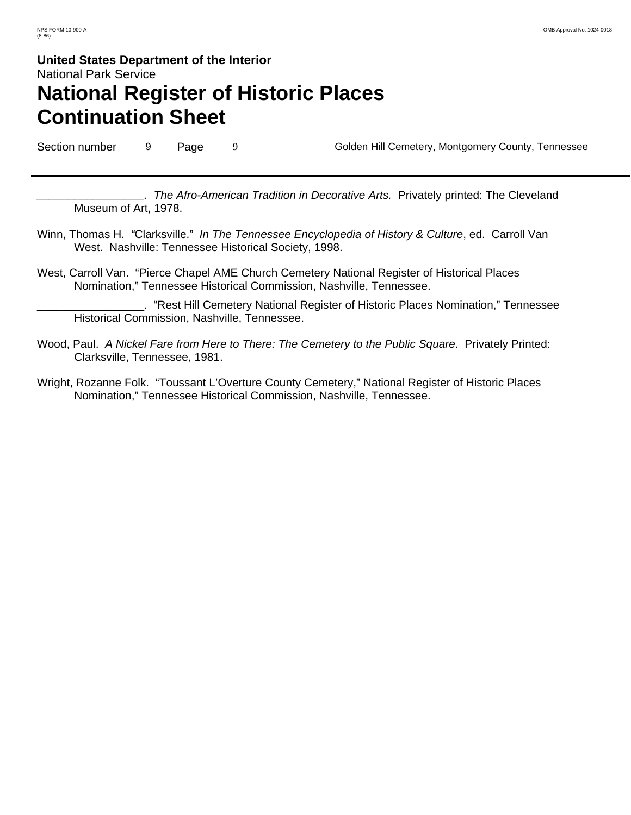Section number 9 Page 9 9 Golden Hill Cemetery, Montgomery County, Tennessee

*\_\_\_\_\_\_\_\_\_\_\_\_\_\_\_\_\_. The Afro-American Tradition in Decorative Arts.* Privately printed: The Cleveland Museum of Art, 1978.

- Winn, Thomas H*. "*Clarksville." *In The Tennessee Encyclopedia of History & Culture*, ed. Carroll Van West. Nashville: Tennessee Historical Society, 1998.
- West, Carroll Van. "Pierce Chapel AME Church Cemetery National Register of Historical Places Nomination," Tennessee Historical Commission, Nashville, Tennessee.

\_\_\_\_\_\_\_\_\_\_\_\_\_\_\_\_\_. "Rest Hill Cemetery National Register of Historic Places Nomination," Tennessee Historical Commission, Nashville, Tennessee.

- Wood, Paul. *A Nickel Fare from Here to There: The Cemetery to the Public Square*. Privately Printed: Clarksville, Tennessee, 1981.
- Wright, Rozanne Folk. "Toussant L'Overture County Cemetery," National Register of Historic Places Nomination," Tennessee Historical Commission, Nashville, Tennessee.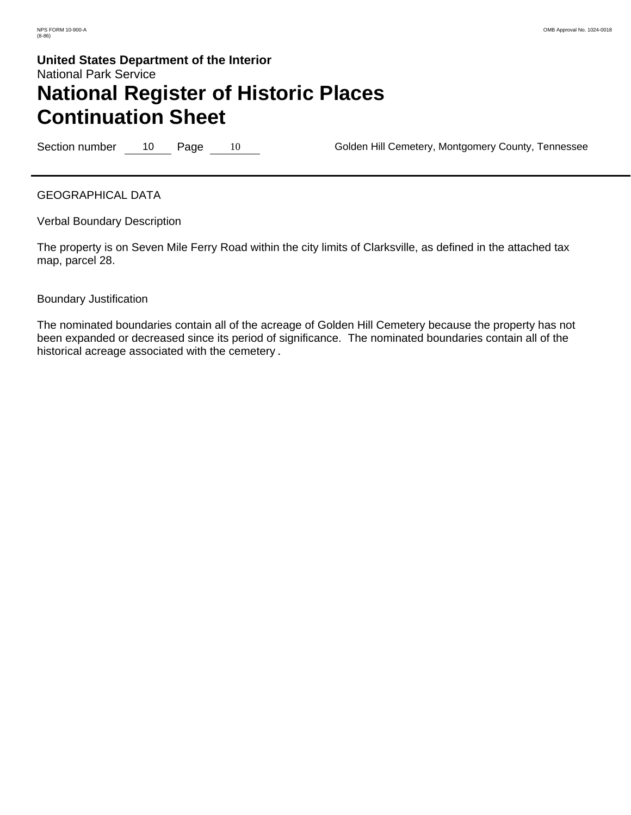Section number 10 Page 10 Section number 10 Page 10 Golden Hill Cemetery, Montgomery County, Tennessee

GEOGRAPHICAL DATA

Verbal Boundary Description

The property is on Seven Mile Ferry Road within the city limits of Clarksville, as defined in the attached tax map, parcel 28.

### Boundary Justification

The nominated boundaries contain all of the acreage of Golden Hill Cemetery because the property has not been expanded or decreased since its period of significance. The nominated boundaries contain all of the historical acreage associated with the cemetery.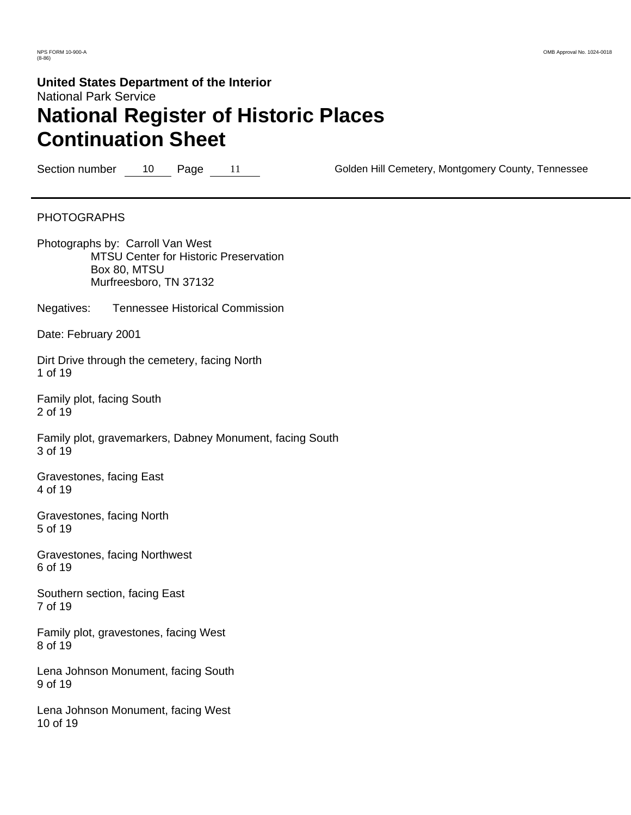Section number 10 Page 11 Golden Hill Cemetery, Montgomery County, Tennessee

### PHOTOGRAPHS

Photographs by: Carroll Van West MTSU Center for Historic Preservation Box 80, MTSU Murfreesboro, TN 37132

Negatives: Tennessee Historical Commission

Date: February 2001

Dirt Drive through the cemetery, facing North 1 of 19

Family plot, facing South 2 of 19

Family plot, gravemarkers, Dabney Monument, facing South 3 of 19

Gravestones, facing East 4 of 19

Gravestones, facing North 5 of 19

Gravestones, facing Northwest 6 of 19

Southern section, facing East 7 of 19

Family plot, gravestones, facing West 8 of 19

Lena Johnson Monument, facing South 9 of 19

Lena Johnson Monument, facing West 10 of 19